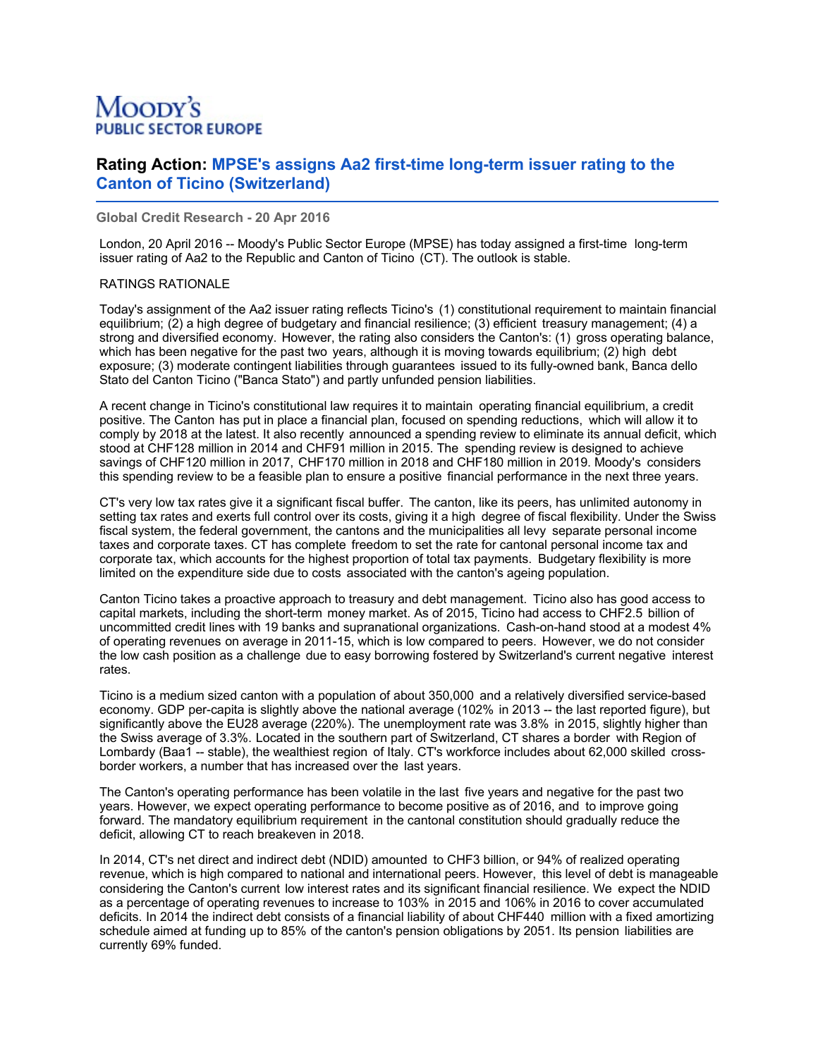# Moody's **PUBLIC SECTOR EUROPE**

# **Rating Action: MPSE's assigns Aa2 first-time long-term issuer rating to the Canton of Ticino (Switzerland)**

**Global Credit Research - 20 Apr 2016**

London, 20 April 2016 -- Moody's Public Sector Europe (MPSE) has today assigned a first-time long-term issuer rating of Aa2 to the Republic and Canton of Ticino (CT). The outlook is stable.

## RATINGS RATIONALE

Today's assignment of the Aa2 issuer rating reflects Ticino's (1) constitutional requirement to maintain financial equilibrium; (2) a high degree of budgetary and financial resilience; (3) efficient treasury management; (4) a strong and diversified economy. However, the rating also considers the Canton's: (1) gross operating balance, which has been negative for the past two years, although it is moving towards equilibrium; (2) high debt exposure; (3) moderate contingent liabilities through guarantees issued to its fully-owned bank, Banca dello Stato del Canton Ticino ("Banca Stato") and partly unfunded pension liabilities.

A recent change in Ticino's constitutional law requires it to maintain operating financial equilibrium, a credit positive. The Canton has put in place a financial plan, focused on spending reductions, which will allow it to comply by 2018 at the latest. It also recently announced a spending review to eliminate its annual deficit, which stood at CHF128 million in 2014 and CHF91 million in 2015. The spending review is designed to achieve savings of CHF120 million in 2017, CHF170 million in 2018 and CHF180 million in 2019. Moody's considers this spending review to be a feasible plan to ensure a positive financial performance in the next three years.

CT's very low tax rates give it a significant fiscal buffer. The canton, like its peers, has unlimited autonomy in setting tax rates and exerts full control over its costs, giving it a high degree of fiscal flexibility. Under the Swiss fiscal system, the federal government, the cantons and the municipalities all levy separate personal income taxes and corporate taxes. CT has complete freedom to set the rate for cantonal personal income tax and corporate tax, which accounts for the highest proportion of total tax payments. Budgetary flexibility is more limited on the expenditure side due to costs associated with the canton's ageing population.

Canton Ticino takes a proactive approach to treasury and debt management. Ticino also has good access to capital markets, including the short-term money market. As of 2015, Ticino had access to CHF2.5 billion of uncommitted credit lines with 19 banks and supranational organizations. Cash-on-hand stood at a modest 4% of operating revenues on average in 2011-15, which is low compared to peers. However, we do not consider the low cash position as a challenge due to easy borrowing fostered by Switzerland's current negative interest rates.

Ticino is a medium sized canton with a population of about 350,000 and a relatively diversified service-based economy. GDP per-capita is slightly above the national average (102% in 2013 -- the last reported figure), but significantly above the EU28 average (220%). The unemployment rate was 3.8% in 2015, slightly higher than the Swiss average of 3.3%. Located in the southern part of Switzerland, CT shares a border with Region of Lombardy (Baa1 -- stable), the wealthiest region of Italy. CT's workforce includes about 62,000 skilled crossborder workers, a number that has increased over the last years.

The Canton's operating performance has been volatile in the last five years and negative for the past two years. However, we expect operating performance to become positive as of 2016, and to improve going forward. The mandatory equilibrium requirement in the cantonal constitution should gradually reduce the deficit, allowing CT to reach breakeven in 2018.

In 2014, CT's net direct and indirect debt (NDID) amounted to CHF3 billion, or 94% of realized operating revenue, which is high compared to national and international peers. However, this level of debt is manageable considering the Canton's current low interest rates and its significant financial resilience. We expect the NDID as a percentage of operating revenues to increase to 103% in 2015 and 106% in 2016 to cover accumulated deficits. In 2014 the indirect debt consists of a financial liability of about CHF440 million with a fixed amortizing schedule aimed at funding up to 85% of the canton's pension obligations by 2051. Its pension liabilities are currently 69% funded.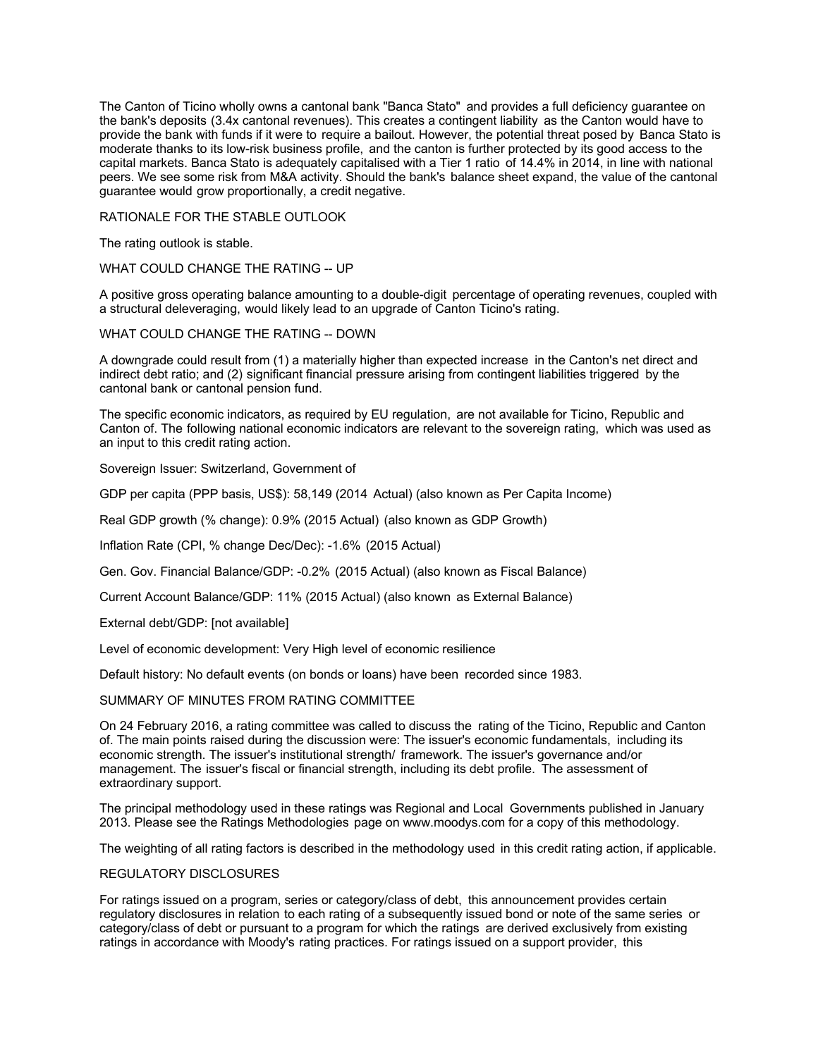The Canton of Ticino wholly owns a cantonal bank "Banca Stato" and provides a full deficiency guarantee on the bank's deposits (3.4x cantonal revenues). This creates a contingent liability as the Canton would have to provide the bank with funds if it were to require a bailout. However, the potential threat posed by Banca Stato is moderate thanks to its low-risk business profile, and the canton is further protected by its good access to the capital markets. Banca Stato is adequately capitalised with a Tier 1 ratio of 14.4% in 2014, in line with national peers. We see some risk from M&A activity. Should the bank's balance sheet expand, the value of the cantonal guarantee would grow proportionally, a credit negative.

#### RATIONALE FOR THE STABLE OUTLOOK

The rating outlook is stable.

#### WHAT COULD CHANGE THE RATING -- UP

A positive gross operating balance amounting to a double-digit percentage of operating revenues, coupled with a structural deleveraging, would likely lead to an upgrade of Canton Ticino's rating.

#### WHAT COULD CHANGE THE RATING -- DOWN

A downgrade could result from (1) a materially higher than expected increase in the Canton's net direct and indirect debt ratio; and (2) significant financial pressure arising from contingent liabilities triggered by the cantonal bank or cantonal pension fund.

The specific economic indicators, as required by EU regulation, are not available for Ticino, Republic and Canton of. The following national economic indicators are relevant to the sovereign rating, which was used as an input to this credit rating action.

Sovereign Issuer: Switzerland, Government of

GDP per capita (PPP basis, US\$): 58,149 (2014 Actual) (also known as Per Capita Income)

Real GDP growth (% change): 0.9% (2015 Actual) (also known as GDP Growth)

Inflation Rate (CPI, % change Dec/Dec): -1.6% (2015 Actual)

Gen. Gov. Financial Balance/GDP: -0.2% (2015 Actual) (also known as Fiscal Balance)

Current Account Balance/GDP: 11% (2015 Actual) (also known as External Balance)

External debt/GDP: [not available]

Level of economic development: Very High level of economic resilience

Default history: No default events (on bonds or loans) have been recorded since 1983.

## SUMMARY OF MINUTES FROM RATING COMMITTEE

On 24 February 2016, a rating committee was called to discuss the rating of the Ticino, Republic and Canton of. The main points raised during the discussion were: The issuer's economic fundamentals, including its economic strength. The issuer's institutional strength/ framework. The issuer's governance and/or management. The issuer's fiscal or financial strength, including its debt profile. The assessment of extraordinary support.

The principal methodology used in these ratings was Regional and Local Governments published in January 2013. Please see the Ratings Methodologies page on www.moodys.com for a copy of this methodology.

The weighting of all rating factors is described in the methodology used in this credit rating action, if applicable.

#### REGULATORY DISCLOSURES

For ratings issued on a program, series or category/class of debt, this announcement provides certain regulatory disclosures in relation to each rating of a subsequently issued bond or note of the same series or category/class of debt or pursuant to a program for which the ratings are derived exclusively from existing ratings in accordance with Moody's rating practices. For ratings issued on a support provider, this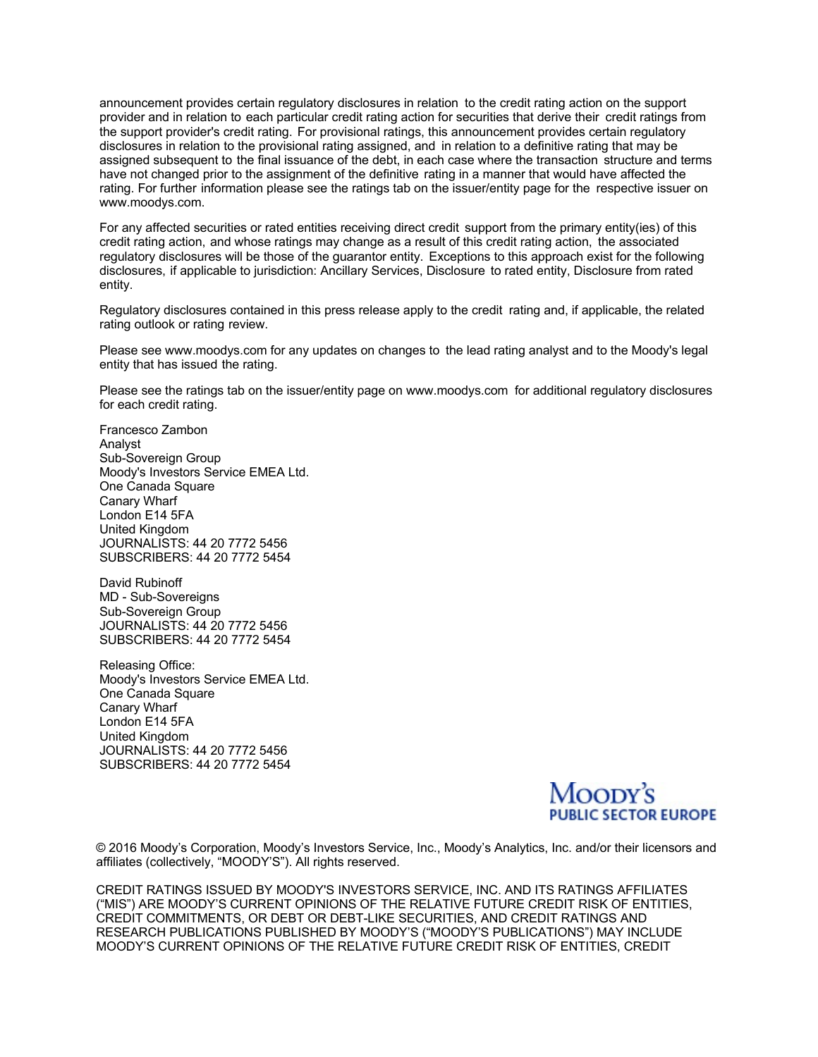announcement provides certain regulatory disclosures in relation to the credit rating action on the support provider and in relation to each particular credit rating action for securities that derive their credit ratings from the support provider's credit rating. For provisional ratings, this announcement provides certain regulatory disclosures in relation to the provisional rating assigned, and in relation to a definitive rating that may be assigned subsequent to the final issuance of the debt, in each case where the transaction structure and terms have not changed prior to the assignment of the definitive rating in a manner that would have affected the rating. For further information please see the ratings tab on the issuer/entity page for the respective issuer on www.moodys.com.

For any affected securities or rated entities receiving direct credit support from the primary entity(ies) of this credit rating action, and whose ratings may change as a result of this credit rating action, the associated regulatory disclosures will be those of the guarantor entity. Exceptions to this approach exist for the following disclosures, if applicable to jurisdiction: Ancillary Services, Disclosure to rated entity, Disclosure from rated entity.

Regulatory disclosures contained in this press release apply to the credit rating and, if applicable, the related rating outlook or rating review.

Please see www.moodys.com for any updates on changes to the lead rating analyst and to the Moody's legal entity that has issued the rating.

Please see the ratings tab on the issuer/entity page on www.moodys.com for additional regulatory disclosures for each credit rating.

Francesco Zambon Analyst Sub-Sovereign Group Moody's Investors Service EMEA Ltd. One Canada Square Canary Wharf London E14 5FA United Kingdom JOURNALISTS: 44 20 7772 5456 SUBSCRIBERS: 44 20 7772 5454

David Rubinoff MD - Sub-Sovereigns Sub-Sovereign Group JOURNALISTS: 44 20 7772 5456 SUBSCRIBERS: 44 20 7772 5454

Releasing Office: Moody's Investors Service EMEA Ltd. One Canada Square Canary Wharf London E14 5FA United Kingdom JOURNALISTS: 44 20 7772 5456 SUBSCRIBERS: 44 20 7772 5454

**PUBLIC SECTOR EUROPE** 

© 2016 Moody's Corporation, Moody's Investors Service, Inc., Moody's Analytics, Inc. and/or their licensors and affiliates (collectively, "MOODY'S"). All rights reserved.

CREDIT RATINGS ISSUED BY MOODY'S INVESTORS SERVICE, INC. AND ITS RATINGS AFFILIATES ("MIS") ARE MOODY'S CURRENT OPINIONS OF THE RELATIVE FUTURE CREDIT RISK OF ENTITIES, CREDIT COMMITMENTS, OR DEBT OR DEBT-LIKE SECURITIES, AND CREDIT RATINGS AND RESEARCH PUBLICATIONS PUBLISHED BY MOODY'S ("MOODY'S PUBLICATIONS") MAY INCLUDE MOODY'S CURRENT OPINIONS OF THE RELATIVE FUTURE CREDIT RISK OF ENTITIES, CREDIT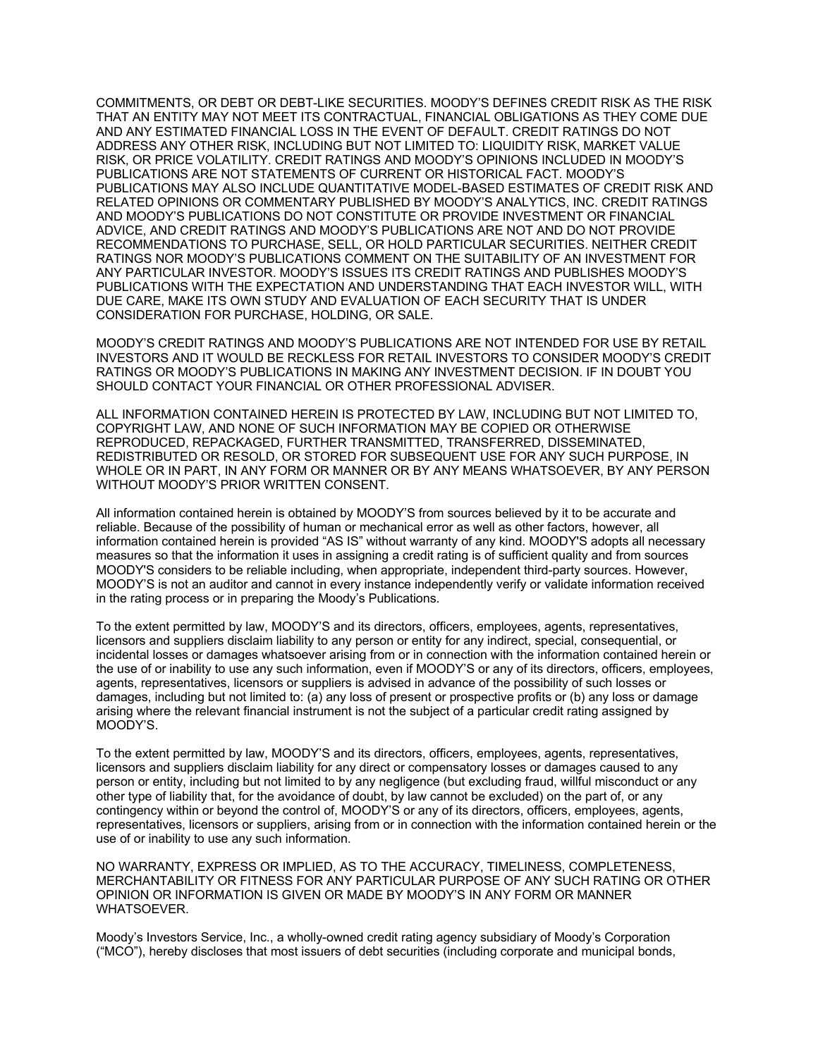COMMITMENTS, OR DEBT OR DEBT-LIKE SECURITIES. MOODY'S DEFINES CREDIT RISK AS THE RISK THAT AN ENTITY MAY NOT MEET ITS CONTRACTUAL, FINANCIAL OBLIGATIONS AS THEY COME DUE AND ANY ESTIMATED FINANCIAL LOSS IN THE EVENT OF DEFAULT. CREDIT RATINGS DO NOT ADDRESS ANY OTHER RISK, INCLUDING BUT NOT LIMITED TO: LIQUIDITY RISK, MARKET VALUE RISK, OR PRICE VOLATILITY. CREDIT RATINGS AND MOODY'S OPINIONS INCLUDED IN MOODY'S PUBLICATIONS ARE NOT STATEMENTS OF CURRENT OR HISTORICAL FACT. MOODY'S PUBLICATIONS MAY ALSO INCLUDE QUANTITATIVE MODEL-BASED ESTIMATES OF CREDIT RISK AND RELATED OPINIONS OR COMMENTARY PUBLISHED BY MOODY'S ANALYTICS, INC. CREDIT RATINGS AND MOODY'S PUBLICATIONS DO NOT CONSTITUTE OR PROVIDE INVESTMENT OR FINANCIAL ADVICE, AND CREDIT RATINGS AND MOODY'S PUBLICATIONS ARE NOT AND DO NOT PROVIDE RECOMMENDATIONS TO PURCHASE, SELL, OR HOLD PARTICULAR SECURITIES. NEITHER CREDIT RATINGS NOR MOODY'S PUBLICATIONS COMMENT ON THE SUITABILITY OF AN INVESTMENT FOR ANY PARTICULAR INVESTOR. MOODY'S ISSUES ITS CREDIT RATINGS AND PUBLISHES MOODY'S PUBLICATIONS WITH THE EXPECTATION AND UNDERSTANDING THAT EACH INVESTOR WILL, WITH DUE CARE, MAKE ITS OWN STUDY AND EVALUATION OF EACH SECURITY THAT IS UNDER CONSIDERATION FOR PURCHASE, HOLDING, OR SALE.

MOODY'S CREDIT RATINGS AND MOODY'S PUBLICATIONS ARE NOT INTENDED FOR USE BY RETAIL INVESTORS AND IT WOULD BE RECKLESS FOR RETAIL INVESTORS TO CONSIDER MOODY'S CREDIT RATINGS OR MOODY'S PUBLICATIONS IN MAKING ANY INVESTMENT DECISION. IF IN DOUBT YOU SHOULD CONTACT YOUR FINANCIAL OR OTHER PROFESSIONAL ADVISER.

ALL INFORMATION CONTAINED HEREIN IS PROTECTED BY LAW, INCLUDING BUT NOT LIMITED TO, COPYRIGHT LAW, AND NONE OF SUCH INFORMATION MAY BE COPIED OR OTHERWISE REPRODUCED, REPACKAGED, FURTHER TRANSMITTED, TRANSFERRED, DISSEMINATED, REDISTRIBUTED OR RESOLD, OR STORED FOR SUBSEQUENT USE FOR ANY SUCH PURPOSE, IN WHOLE OR IN PART, IN ANY FORM OR MANNER OR BY ANY MEANS WHATSOEVER, BY ANY PERSON WITHOUT MOODY'S PRIOR WRITTEN CONSENT.

All information contained herein is obtained by MOODY'S from sources believed by it to be accurate and reliable. Because of the possibility of human or mechanical error as well as other factors, however, all information contained herein is provided "AS IS" without warranty of any kind. MOODY'S adopts all necessary measures so that the information it uses in assigning a credit rating is of sufficient quality and from sources MOODY'S considers to be reliable including, when appropriate, independent third-party sources. However, MOODY'S is not an auditor and cannot in every instance independently verify or validate information received in the rating process or in preparing the Moody's Publications.

To the extent permitted by law, MOODY'S and its directors, officers, employees, agents, representatives, licensors and suppliers disclaim liability to any person or entity for any indirect, special, consequential, or incidental losses or damages whatsoever arising from or in connection with the information contained herein or the use of or inability to use any such information, even if MOODY'S or any of its directors, officers, employees, agents, representatives, licensors or suppliers is advised in advance of the possibility of such losses or damages, including but not limited to: (a) any loss of present or prospective profits or (b) any loss or damage arising where the relevant financial instrument is not the subject of a particular credit rating assigned by MOODY'S.

To the extent permitted by law, MOODY'S and its directors, officers, employees, agents, representatives, licensors and suppliers disclaim liability for any direct or compensatory losses or damages caused to any person or entity, including but not limited to by any negligence (but excluding fraud, willful misconduct or any other type of liability that, for the avoidance of doubt, by law cannot be excluded) on the part of, or any contingency within or beyond the control of, MOODY'S or any of its directors, officers, employees, agents, representatives, licensors or suppliers, arising from or in connection with the information contained herein or the use of or inability to use any such information.

NO WARRANTY, EXPRESS OR IMPLIED, AS TO THE ACCURACY, TIMELINESS, COMPLETENESS, MERCHANTABILITY OR FITNESS FOR ANY PARTICULAR PURPOSE OF ANY SUCH RATING OR OTHER OPINION OR INFORMATION IS GIVEN OR MADE BY MOODY'S IN ANY FORM OR MANNER WHATSOEVER.

Moody's Investors Service, Inc., a wholly-owned credit rating agency subsidiary of Moody's Corporation ("MCO"), hereby discloses that most issuers of debt securities (including corporate and municipal bonds,